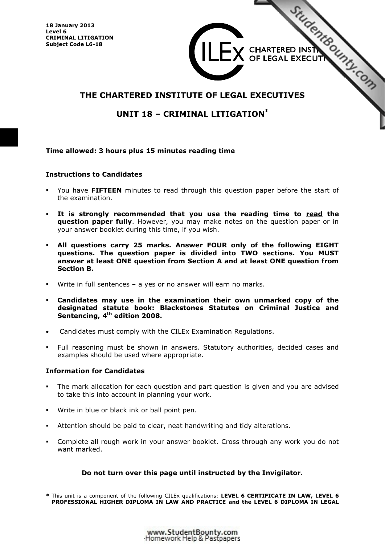**18 January 2013 Level 6 CRIMINAL LITIGATION Subject Code L6-18**

# THE CHARTERED INSTITUTE OF LEGAL EXECUTIVES  $\mathbf{X}$  CHARTERED INSTRATED IN THE SECTION

# **UNIT 18 – CRIMINAL LITIGATION\***

#### **Time allowed: 3 hours plus 15 minutes reading time**

#### **Instructions to Candidates**

- - You have **FIFTEEN** minutes to read through this question paper before the start of the examination.
- - **It is strongly recommended that you use the reading time to read the question paper fully**. However, you may make notes on the question paper or in your answer booklet during this time, if you wish.
- - **All questions carry 25 marks. Answer FOUR only of the following EIGHT questions. The question paper is divided into TWO sections. You MUST answer at least ONE question from Section A and at least ONE question from Section B.**
- -Write in full sentences – a yes or no answer will earn no marks.
- - **Candidates may use in the examination their own unmarked copy of the designated statute book: Blackstones Statutes on Criminal Justice and Sentencing, 4th edition 2008.**
- -Candidates must comply with the CILEx Examination Regulations.
- - Full reasoning must be shown in answers. Statutory authorities, decided cases and examples should be used where appropriate.

#### **Information for Candidates**

- - The mark allocation for each question and part question is given and you are advised to take this into account in planning your work.
- Write in blue or black ink or ball point pen.
- -Attention should be paid to clear, neat handwriting and tidy alterations.
- - Complete all rough work in your answer booklet. Cross through any work you do not want marked.

#### **Do not turn over this page until instructed by the Invigilator.**

**\*** This unit is a component of the following CILEx qualifications: **LEVEL 6 CERTIFICATE IN LAW, LEVEL 6 PROFESSIONAL HIGHER DIPLOMA IN LAW AND PRACTICE and the LEVEL 6 DIPLOMA IN LEGAL**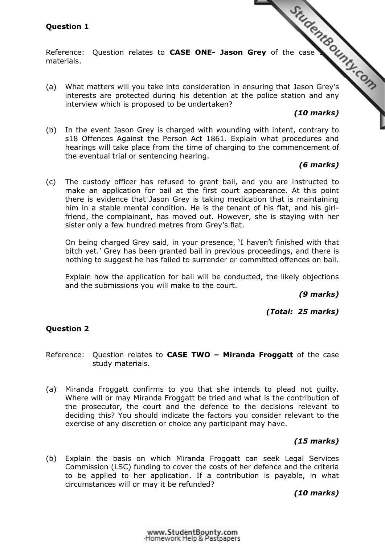# **Question 1**

materials.

Question 1<br>Reference: Question relates to **CASE ONE- Jason Grey** of the case study of the CASE ONE- Jason Grey's<br>A ansuring that Jason Grey's (a) What matters will you take into consideration in en[suring that Jason Grey's](http://www.studentbounty.com/)  interests are protected during his detention at the police station and any interview which is proposed to be undertaken?

# *(10 marks)*

(b) In the event Jason Grey is charged with wounding with intent, contrary to s18 Offences Against the Person Act 1861. Explain what procedures and hearings will take place from the time of charging to the commencement of the eventual trial or sentencing hearing.

## *(6 marks)*

(c) The custody officer has refused to grant bail, and you are instructed to make an application for bail at the first court appearance. At this point there is evidence that Jason Grey is taking medication that is maintaining him in a stable mental condition. He is the tenant of his flat, and his girlfriend, the complainant, has moved out. However, she is staying with her sister only a few hundred metres from Grey's flat.

 On being charged Grey said, in your presence, 'I haven't finished with that bitch yet.' Grey has been granted bail in previous proceedings, and there is nothing to suggest he has failed to surrender or committed offences on bail.

 Explain how the application for bail will be conducted, the likely objections and the submissions you will make to the court.

*(9 marks)* 

*(Total: 25 marks)* 

#### **Question 2**

Reference: Question relates to **CASE TWO – Miranda Froggatt** of the case study materials.

(a) Miranda Froggatt confirms to you that she intends to plead not guilty. Where will or may Miranda Froggatt be tried and what is the contribution of the prosecutor, the court and the defence to the decisions relevant to deciding this? You should indicate the factors you consider relevant to the exercise of any discretion or choice any participant may have.

#### *(15 marks)*

(b) Explain the basis on which Miranda Froggatt can seek Legal Services Commission (LSC) funding to cover the costs of her defence and the criteria to be applied to her application. If a contribution is payable, in what circumstances will or may it be refunded?

*(10 marks)*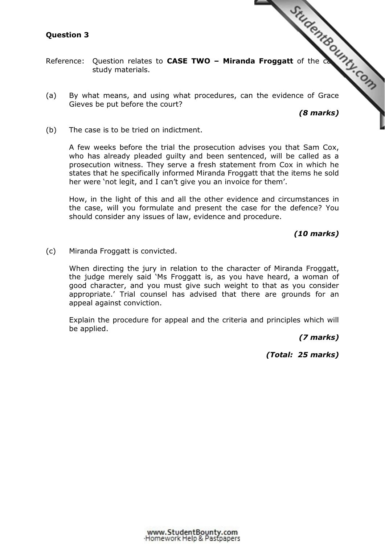## **Question 3**

- Question 3<br>Reference: Question relates to **CASE TWO Miranda Froggatt** of the case of Grace study materials.
- (a) By what means, and using what procedures, can [the evidence of Grace](http://www.studentbounty.com/)  Gieves be put before the court?

*(8 marks)* 

(b) The case is to be tried on indictment.

 A few weeks before the trial the prosecution advises you that Sam Cox, who has already pleaded guilty and been sentenced, will be called as a prosecution witness. They serve a fresh statement from Cox in which he states that he specifically informed Miranda Froggatt that the items he sold her were 'not legit, and I can't give you an invoice for them'.

How, in the light of this and all the other evidence and circumstances in the case, will you formulate and present the case for the defence? You should consider any issues of law, evidence and procedure.

*(10 marks)* 

(c) Miranda Froggatt is convicted.

 When directing the jury in relation to the character of Miranda Froggatt, the judge merely said 'Ms Froggatt is, as you have heard, a woman of good character, and you must give such weight to that as you consider appropriate.' Trial counsel has advised that there are grounds for an appeal against conviction.

 Explain the procedure for appeal and the criteria and principles which will be applied.

*(7 marks)* 

*(Total: 25 marks)*